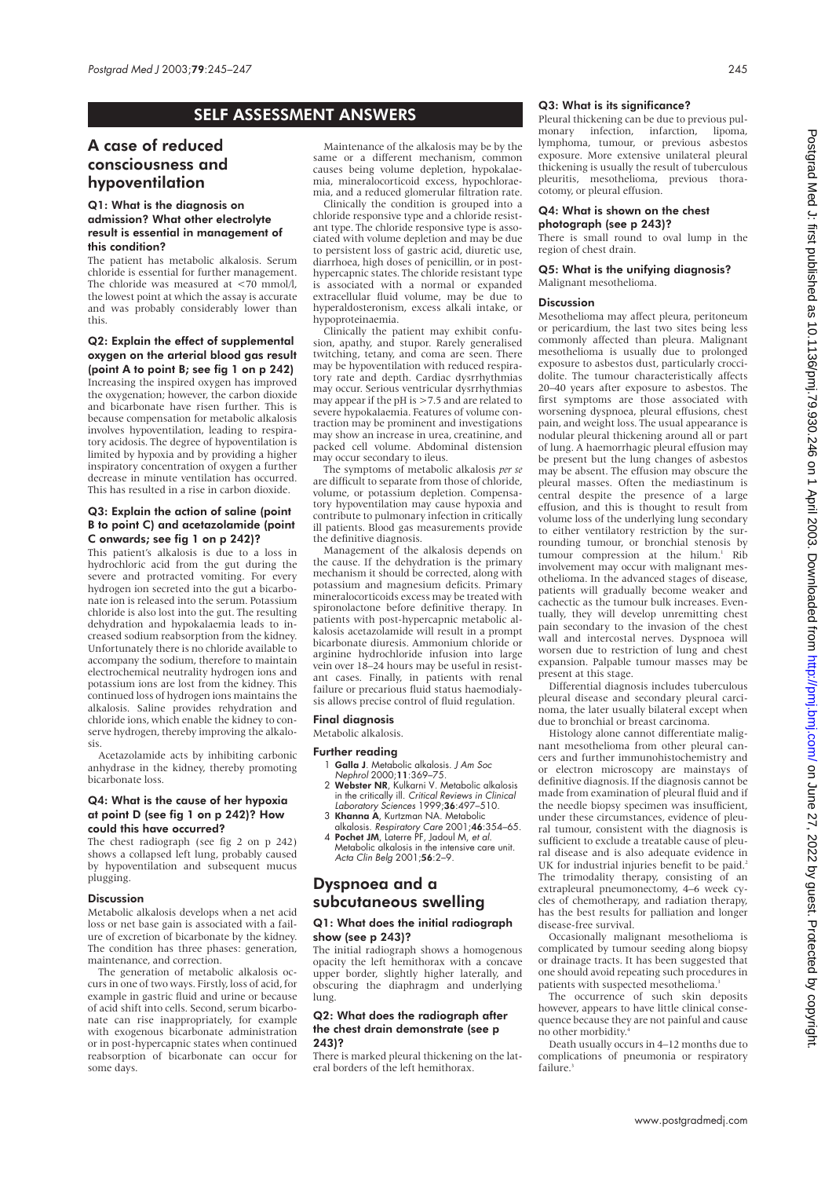# SELF ASSESSMENT ANSWERS

# A case of reduced consciousness and hypoventilation

# Q1: What is the diagnosis on admission? What other electrolyte result is essential in management of this condition?

The patient has metabolic alkalosis. Serum chloride is essential for further management. The chloride was measured at  $\langle 70 \text{ mmol/}l$ . the lowest point at which the assay is accurate and was probably considerably lower than this.

# Q2: Explain the effect of supplemental oxygen on the arterial blood gas result (point A to point B; see fig 1 on p 242)

Increasing the inspired oxygen has improved the oxygenation; however, the carbon dioxide and bicarbonate have risen further. This is because compensation for metabolic alkalosis involves hypoventilation, leading to respiratory acidosis. The degree of hypoventilation is limited by hypoxia and by providing a higher inspiratory concentration of oxygen a further decrease in minute ventilation has occurred. This has resulted in a rise in carbon dioxide.

# Q3: Explain the action of saline (point B to point C) and acetazolamide (point C onwards; see fig 1 on p 242)?

This patient's alkalosis is due to a loss in hydrochloric acid from the gut during the severe and protracted vomiting. For every hydrogen ion secreted into the gut a bicarbonate ion is released into the serum. Potassium chloride is also lost into the gut. The resulting dehydration and hypokalaemia leads to increased sodium reabsorption from the kidney. Unfortunately there is no chloride available to accompany the sodium, therefore to maintain electrochemical neutrality hydrogen ions and potassium ions are lost from the kidney. This continued loss of hydrogen ions maintains the alkalosis. Saline provides rehydration and chloride ions, which enable the kidney to conserve hydrogen, thereby improving the alkalosis.

Acetazolamide acts by inhibiting carbonic anhydrase in the kidney, thereby promoting bicarbonate loss.

# Q4: What is the cause of her hypoxia at point D (see fig 1 on p 242)? How could this have occurred?

The chest radiograph (see fig 2 on p 242) shows a collapsed left lung, probably caused by hypoventilation and subsequent mucus plugging.

# **Discussion**

Metabolic alkalosis develops when a net acid loss or net base gain is associated with a failure of excretion of bicarbonate by the kidney. The condition has three phases: generation, maintenance, and correction.

The generation of metabolic alkalosis occurs in one of two ways. Firstly, loss of acid, for example in gastric fluid and urine or because of acid shift into cells. Second, serum bicarbonate can rise inappropriately, for example with exogenous bicarbonate administration or in post-hypercapnic states when continued reabsorption of bicarbonate can occur for some days.

Maintenance of the alkalosis may be by the same or a different mechanism, common causes being volume depletion, hypokalaemia, mineralocorticoid excess, hypochloraemia, and a reduced glomerular filtration rate.

Clinically the condition is grouped into a chloride responsive type and a chloride resistant type. The chloride responsive type is associated with volume depletion and may be due to persistent loss of gastric acid, diuretic use, diarrhoea, high doses of penicillin, or in posthypercapnic states. The chloride resistant type is associated with a normal or expanded extracellular fluid volume, may be due to hyperaldosteronism, excess alkali intake, or hypoproteinaemia.

Clinically the patient may exhibit confusion, apathy, and stupor. Rarely generalised twitching, tetany, and coma are seen. There may be hypoventilation with reduced respiratory rate and depth. Cardiac dysrrhythmias may occur. Serious ventricular dysrrhythmias may appear if the pH is >7.5 and are related to severe hypokalaemia. Features of volume contraction may be prominent and investigations may show an increase in urea, creatinine, and packed cell volume. Abdominal distension may occur secondary to ileus.

The symptoms of metabolic alkalosis *per se* are difficult to separate from those of chloride, volume, or potassium depletion. Compensatory hypoventilation may cause hypoxia and contribute to pulmonary infection in critically ill patients. Blood gas measurements provide the definitive diagnosis.

Management of the alkalosis depends on the cause. If the dehydration is the primary mechanism it should be corrected, along with potassium and magnesium deficits. Primary mineralocorticoids excess may be treated with spironolactone before definitive therapy. In patients with post-hypercapnic metabolic alkalosis acetazolamide will result in a prompt bicarbonate diuresis. Ammonium chloride or arginine hydrochloride infusion into large vein over 18–24 hours may be useful in resistant cases. Finally, in patients with renal failure or precarious fluid status haemodialysis allows precise control of fluid regulation.

# Final diagnosis

# Metabolic alkalosis.

## Further reading

- 1 Galla J. Metabolic alkalosis. *J Am Soc Nephrol* 2000;11:369–75.
- 2 Webster NR, Kulkarni V. Metabolic alkalosis in the critically ill. *Critical Reviews in Clinical Laboratory Sciences* 1999;36:497–510.
- 3 Khanna A, Kurtzman NA. Metabolic alkalosis. *Respiratory Care* 2001;46:354–65. 4 Pochet JM, Laterre PF, Jadoul M, *et al*.
- Metabolic alkalosis in the intensive care unit. *Acta Clin Belg* 2001;56:2–9.

# Dyspnoea and a subcutaneous swelling

## Q1: What does the initial radiograph show (see p 243)?

The initial radiograph shows a homogenous opacity the left hemithorax with a concave upper border, slightly higher laterally, and obscuring the diaphragm and underlying lung.

# Q2: What does the radiograph after the chest drain demonstrate (see p 243)?

There is marked pleural thickening on the lateral borders of the left hemithorax.

# Q3: What is its significance?

Pleural thickening can be due to previous pulmonary infection, infarction, lipoma, lymphoma, tumour, or previous asbestos exposure. More extensive unilateral pleural thickening is usually the result of tuberculous pleuritis, mesothelioma, previous thoracotomy, or pleural effusion.

## Q4: What is shown on the chest photograph (see p 243)?

There is small round to oval lump in the region of chest drain.

## Q5: What is the unifying diagnosis? Malignant mesothelioma.

# Discussion

Mesothelioma may affect pleura, peritoneum or pericardium, the last two sites being less commonly affected than pleura. Malignant mesothelioma is usually due to prolonged exposure to asbestos dust, particularly croccidolite. The tumour characteristically affects 20–40 years after exposure to asbestos. The first symptoms are those associated with worsening dyspnoea, pleural effusions, chest pain, and weight loss. The usual appearance is nodular pleural thickening around all or part of lung. A haemorrhagic pleural effusion may be present but the lung changes of asbestos may be absent. The effusion may obscure the pleural masses. Often the mediastinum is central despite the presence of a large effusion, and this is thought to result from volume loss of the underlying lung secondary to either ventilatory restriction by the surrounding tumour, or bronchial stenosis by tumour compression at the hilum.<sup>1</sup> Rib involvement may occur with malignant mesothelioma. In the advanced stages of disease, patients will gradually become weaker and cachectic as the tumour bulk increases. Eventually, they will develop unremitting chest pain secondary to the invasion of the chest wall and intercostal nerves. Dyspnoea will worsen due to restriction of lung and chest expansion. Palpable tumour masses may be present at this stage.

Differential diagnosis includes tuberculous pleural disease and secondary pleural carcinoma, the later usually bilateral except when due to bronchial or breast carcinoma.

Histology alone cannot differentiate malignant mesothelioma from other pleural cancers and further immunohistochemistry and or electron microscopy are mainstays of definitive diagnosis. If the diagnosis cannot be made from examination of pleural fluid and if the needle biopsy specimen was insufficient, under these circumstances, evidence of pleural tumour, consistent with the diagnosis is sufficient to exclude a treatable cause of pleural disease and is also adequate evidence in UK for industrial injuries benefit to be paid.<sup>2</sup> The trimodality therapy, consisting of an extrapleural pneumonectomy, 4–6 week cycles of chemotherapy, and radiation therapy, has the best results for palliation and longer disease-free survival.

Occasionally malignant mesothelioma is complicated by tumour seeding along biopsy or drainage tracts. It has been suggested that one should avoid repeating such procedures in patients with suspected mesothelioma.<sup>3</sup>

The occurrence of such skin deposits however, appears to have little clinical consequence because they are not painful and cause no other morbidity.4

Death usually occurs in 4–12 months due to complications of pneumonia or respiratory failure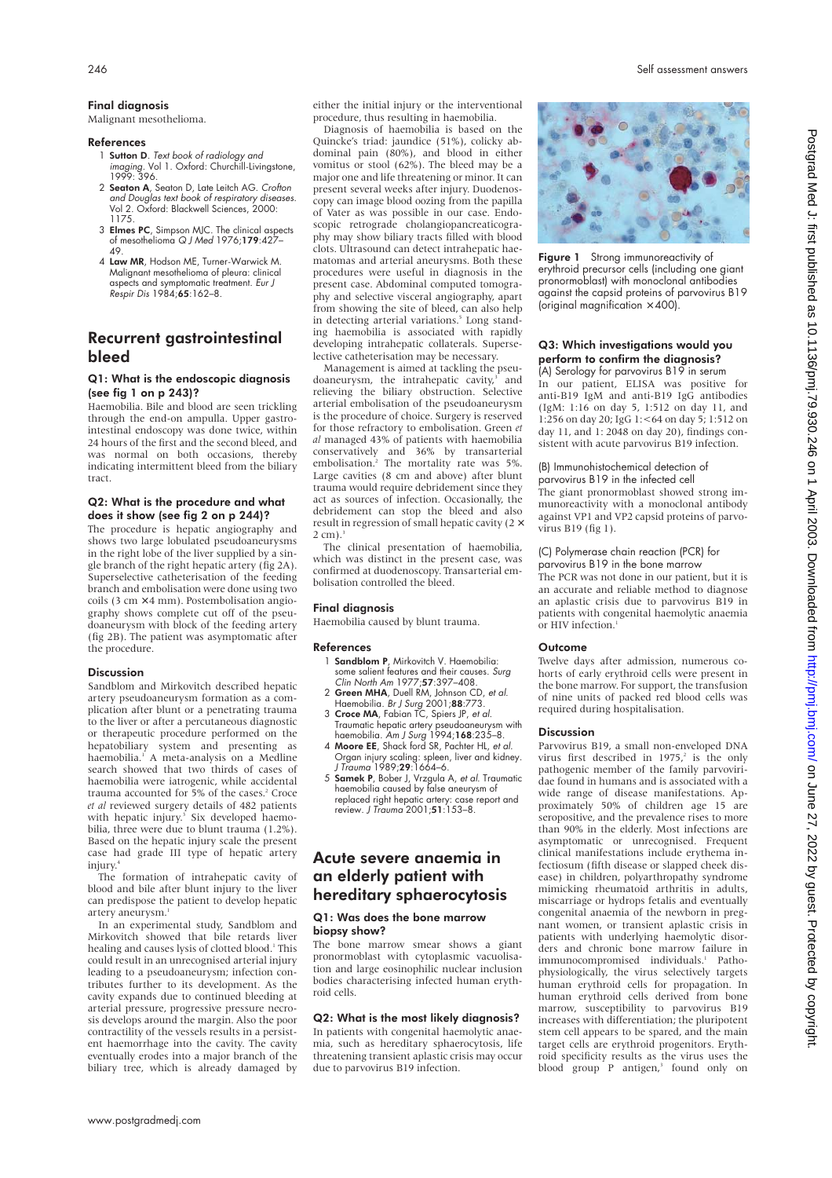# Final diagnosis

Malignant mesothelioma.

#### **References**

- 1 Sutton D. *Text book of radiology and imaging.* Vol 1. Oxford: Churchill-Livingstone, 1999: 396.
- 2 Seaton A, Seaton D, Late Leitch AG. *Crofton and Douglas text book of respiratory diseases.* Vol 2. Oxford: Blackwell Sciences, 2000: 1175.
- 3 Elmes PC, Simpson MJC. The clinical aspects of mesothelioma *Q J Med* 1976;179:427– 49.
- 4 Law MR, Hodson ME, Turner-Warwick M. Malignant mesothelioma of pleura: clinical aspects and symptomatic treatment. *Eur J Respir Dis* 1984;65:162–8.

# Recurrent gastrointestinal bleed

# Q1: What is the endoscopic diagnosis (see fig 1 on p 243)?

Haemobilia. Bile and blood are seen trickling through the end-on ampulla. Upper gastrointestinal endoscopy was done twice, within 24 hours of the first and the second bleed, and was normal on both occasions, thereby indicating intermittent bleed from the biliary tract.

# Q2: What is the procedure and what does it show (see fig 2 on p 244)?

The procedure is hepatic angiography and shows two large lobulated pseudoaneurysms in the right lobe of the liver supplied by a single branch of the right hepatic artery (fig 2A). Superselective catheterisation of the feeding branch and embolisation were done using two coils (3 cm  $\times$  4 mm). Postembolisation angiography shows complete cut off of the pseudoaneurysm with block of the feeding artery (fig 2B). The patient was asymptomatic after the procedure.

# Discussion

Sandblom and Mirkovitch described hepatic artery pseudoaneurysm formation as a complication after blunt or a penetrating trauma to the liver or after a percutaneous diagnostic or therapeutic procedure performed on the hepatobiliary system and presenting as haemobilia.<sup>1</sup> A meta-analysis on a Medline search showed that two thirds of cases of haemobilia were iatrogenic, while accidental trauma accounted for 5% of the cases.<sup>2</sup> Croce *et al* reviewed surgery details of 482 patients with hepatic injury.<sup>3</sup> Six developed haemobilia, three were due to blunt trauma (1.2%). Based on the hepatic injury scale the present case had grade III type of hepatic artery injury.

The formation of intrahepatic cavity of blood and bile after blunt injury to the liver can predispose the patient to develop hepatic artery aneurysm.

In an experimental study, Sandblom and Mirkovitch showed that bile retards liver healing and causes lysis of clotted blood.<sup>1</sup> This could result in an unrecognised arterial injury leading to a pseudoaneurysm; infection contributes further to its development. As the cavity expands due to continued bleeding at arterial pressure, progressive pressure necrosis develops around the margin. Also the poor contractility of the vessels results in a persistent haemorrhage into the cavity. The cavity eventually erodes into a major branch of the biliary tree, which is already damaged by

either the initial injury or the interventional procedure, thus resulting in haemobilia.

Diagnosis of haemobilia is based on the Quincke's triad: jaundice (51%), colicky abdominal pain (80%), and blood in either vomitus or stool (62%). The bleed may be a major one and life threatening or minor. It can present several weeks after injury. Duodenoscopy can image blood oozing from the papilla of Vater as was possible in our case. Endoscopic retrograde cholangiopancreaticography may show biliary tracts filled with blood clots. Ultrasound can detect intrahepatic haematomas and arterial aneurysms. Both these procedures were useful in diagnosis in the present case. Abdominal computed tomography and selective visceral angiography, apart from showing the site of bleed, can also help in detecting arterial variations.<sup>5</sup> Long standing haemobilia is associated with rapidly developing intrahepatic collaterals. Superselective catheterisation may be necessary.

Management is aimed at tackling the pseudoaneurysm, the intrahepatic cavity,<sup>3</sup> and relieving the biliary obstruction. Selective arterial embolisation of the pseudoaneurysm is the procedure of choice. Surgery is reserved for those refractory to embolisation. Green *et al* managed 43% of patients with haemobilia conservatively and 36% by transarterial embolisation.<sup>2</sup> The mortality rate was 5%. Large cavities (8 cm and above) after blunt trauma would require debridement since they act as sources of infection. Occasionally, the debridement can stop the bleed and also result in regression of small hepatic cavity ( $2 \times$  $2$  cm). $3$ 

The clinical presentation of haemobilia, which was distinct in the present case, was confirmed at duodenoscopy. Transarterial embolisation controlled the bleed.

## Final diagnosis

Haemobilia caused by blunt trauma.

## References

- 1 **Sandblom P**, Mirkovitch V, Haemobilia: some salient features and their causes. *Surg Clin North Am* 1977;57:397–408.
- 2 Green MHA, Duell RM, Johnson CD, *et al*. Haemobilia. *Br J Surg* 2001;88:773. 3 Croce MA, Fabian TC, Spiers JP, *et al*.
- Traumatic hepatic artery pseudoaneurysm with haemobilia. *Am J Surg* 1994;168:235–8. 4 Moore EE, Shack ford SR, Pachter HL, *et al*.
- Organ injury scaling: spleen, liver and kidney. *J Trauma* 1989;29:1664–6.
- 5 Samek P, Bober J, Vrzgula A, *et al*. Traumatic haemobilia caused by false aneurysm of replaced right hepatic artery: case report and review. *J Trauma* 2001;51:153–8.

# Acute severe anaemia in an elderly patient with hereditary sphaerocytosis

## Q1: Was does the bone marrow biopsy show?

The bone marrow smear shows a giant pronormoblast with cytoplasmic vacuolisation and large eosinophilic nuclear inclusion bodies characterising infected human erythroid cells.

# Q2: What is the most likely diagnosis?

In patients with congenital haemolytic anaemia, such as hereditary sphaerocytosis, life threatening transient aplastic crisis may occur due to parvovirus B19 infection.



Figure 1 Strong immunoreactivity of erythroid precursor cells (including one giant pronormoblast) with monoclonal antibodies against the capsid proteins of parvovirus B19 (original magnification  $\times$  400).

# Q3: Which investigations would you perform to confirm the diagnosis?

(A) Serology for parvovirus B19 in serum In our patient, ELISA was positive for anti-B19 IgM and anti-B19 IgG antibodies (IgM: 1:16 on day 5, 1:512 on day 11, and 1:256 on day 20; IgG 1:<64 on day 5; 1:512 on day 11, and 1: 2048 on day 20), findings consistent with acute parvovirus B19 infection.

(B) Immunohistochemical detection of parvovirus B19 in the infected cell The giant pronormoblast showed strong immunoreactivity with a monoclonal antibody against VP1 and VP2 capsid proteins of parvovirus B19 (fig 1).

(C) Polymerase chain reaction (PCR) for parvovirus B19 in the bone marrow

The PCR was not done in our patient, but it is an accurate and reliable method to diagnose an aplastic crisis due to parvovirus B19 in patients with congenital haemolytic anaemia or HIV infection.

## **Outcome**

Twelve days after admission, numerous cohorts of early erythroid cells were present in the bone marrow. For support, the transfusion of nine units of packed red blood cells was required during hospitalisation.

## **Discussion**

Parvovirus B19, a small non-enveloped DNA virus first described in  $1975$ ,<sup>2</sup> is the only pathogenic member of the family parvoviridae found in humans and is associated with a wide range of disease manifestations. Approximately 50% of children age 15 are seropositive, and the prevalence rises to more than 90% in the elderly. Most infections are asymptomatic or unrecognised. Frequent clinical manifestations include erythema infectiosum (fifth disease or slapped cheek disease) in children, polyarthropathy syndrome mimicking rheumatoid arthritis in adults, miscarriage or hydrops fetalis and eventually congenital anaemia of the newborn in pregnant women, or transient aplastic crisis in patients with underlying haemolytic disorders and chronic bone marrow failure in immunocompromised individuals.<sup>1</sup> Pathophysiologically, the virus selectively targets human erythroid cells for propagation. In human erythroid cells derived from bone marrow, susceptibility to parvovirus B19 increases with differentiation; the pluripotent stem cell appears to be spared, and the main target cells are erythroid progenitors. Erythroid specificity results as the virus uses the blood group P antigen,<sup>3</sup> found only on